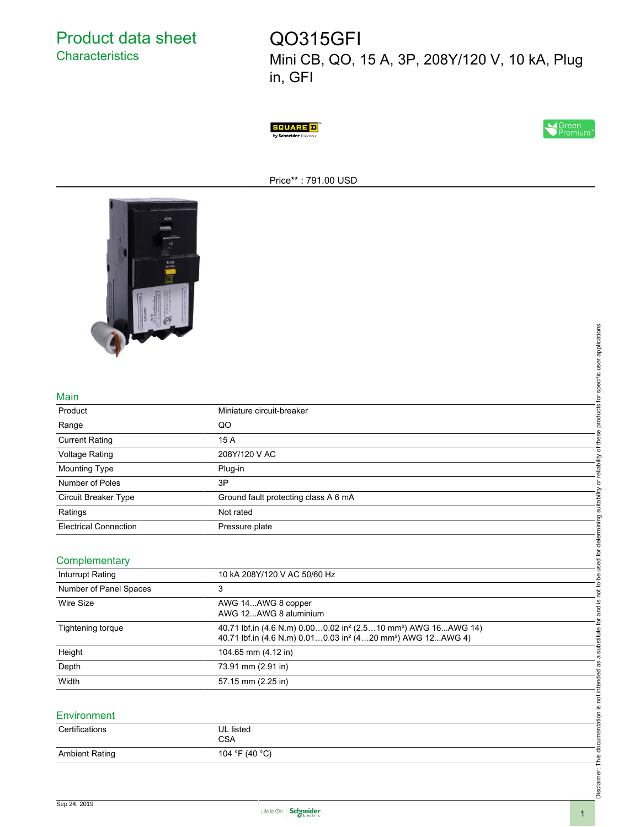Product data sheet **Characteristics** 

# QO315GFI

Mini CB, QO, 15 A, 3P, 208Y/120 V, 10 kA, Plug in, GFI





Price\*\* : 791.00 USD



## Main

| <b>The State</b>             |                                                                                                                                                                               |                                                |
|------------------------------|-------------------------------------------------------------------------------------------------------------------------------------------------------------------------------|------------------------------------------------|
|                              |                                                                                                                                                                               | products for specific user applications        |
|                              |                                                                                                                                                                               |                                                |
|                              |                                                                                                                                                                               |                                                |
| Main                         |                                                                                                                                                                               |                                                |
| Product                      | Miniature circuit-breaker                                                                                                                                                     |                                                |
| Range                        | QO                                                                                                                                                                            |                                                |
| <b>Current Rating</b>        | 15 A                                                                                                                                                                          | or reliability of these                        |
| <b>Voltage Rating</b>        | 208Y/120 V AC                                                                                                                                                                 |                                                |
| <b>Mounting Type</b>         | Plug-in                                                                                                                                                                       |                                                |
| Number of Poles              | 3P                                                                                                                                                                            |                                                |
| Circuit Breaker Type         | Ground fault protecting class A 6 mA                                                                                                                                          | suitability                                    |
| Ratings                      | Not rated                                                                                                                                                                     |                                                |
| <b>Electrical Connection</b> | Pressure plate                                                                                                                                                                |                                                |
|                              |                                                                                                                                                                               |                                                |
| Complementary                |                                                                                                                                                                               | not to be used for determining                 |
| Inturrupt Rating             | 10 kA 208Y/120 V AC 50/60 Hz                                                                                                                                                  |                                                |
| Number of Panel Spaces       | 3                                                                                                                                                                             |                                                |
| <b>Wire Size</b>             | AWG 14AWG 8 copper<br>AWG 12AWG 8 aluminium                                                                                                                                   | <u>(0</u><br>and                               |
| Tightening torque            | 40.71 lbf.in (4.6 N.m) 0.000.02 in <sup>2</sup> (2.510 mm <sup>2</sup> ) AWG 16AWG 14)<br>40.71 lbf.in (4.6 N.m) 0.010.03 in <sup>2</sup> (420 mm <sup>2</sup> ) AWG 12AWG 4) | substitute for                                 |
| Height                       | 104.65 mm (4.12 in)                                                                                                                                                           | $\varpi$                                       |
| Depth                        | 73.91 mm (2.91 in)                                                                                                                                                            | æ                                              |
| Width                        | 57.15 mm (2.25 in)                                                                                                                                                            |                                                |
|                              |                                                                                                                                                                               |                                                |
| Environment                  |                                                                                                                                                                               | Disclaimer: This documentation is not intended |
| Certifications               | <b>UL</b> listed                                                                                                                                                              |                                                |
|                              | <b>CSA</b>                                                                                                                                                                    |                                                |
| <b>Ambient Rating</b>        | 104 °F (40 °C)                                                                                                                                                                |                                                |
|                              |                                                                                                                                                                               |                                                |
|                              |                                                                                                                                                                               |                                                |
|                              |                                                                                                                                                                               |                                                |

#### **Complementary**

| Inturrupt Rating       | 10 kA 208Y/120 V AC 50/60 Hz                                                                                                                                                  |  |
|------------------------|-------------------------------------------------------------------------------------------------------------------------------------------------------------------------------|--|
| Number of Panel Spaces | 3                                                                                                                                                                             |  |
| Wire Size              | AWG 14AWG 8 copper<br>AWG 12AWG 8 aluminium                                                                                                                                   |  |
| Tightening torque      | 40.71 lbf.in (4.6 N.m) 0.000.02 in <sup>2</sup> (2.510 mm <sup>2</sup> ) AWG 16AWG 14)<br>40.71 lbf.in (4.6 N.m) 0.010.03 in <sup>2</sup> (420 mm <sup>2</sup> ) AWG 12AWG 4) |  |
| Height                 | 104.65 mm (4.12 in)                                                                                                                                                           |  |
| Depth                  | 73.91 mm (2.91 in)                                                                                                                                                            |  |
| Width                  | 57.15 mm (2.25 in)                                                                                                                                                            |  |

## **Environment**

| Certifications        | UL listed<br>CSA |
|-----------------------|------------------|
| <b>Ambient Rating</b> | 104 °F (40 °C)   |

Disclaimer: This documentation is not intended as a substitute for and is not to be used for determining suitability or reliability of these products for specific user applications